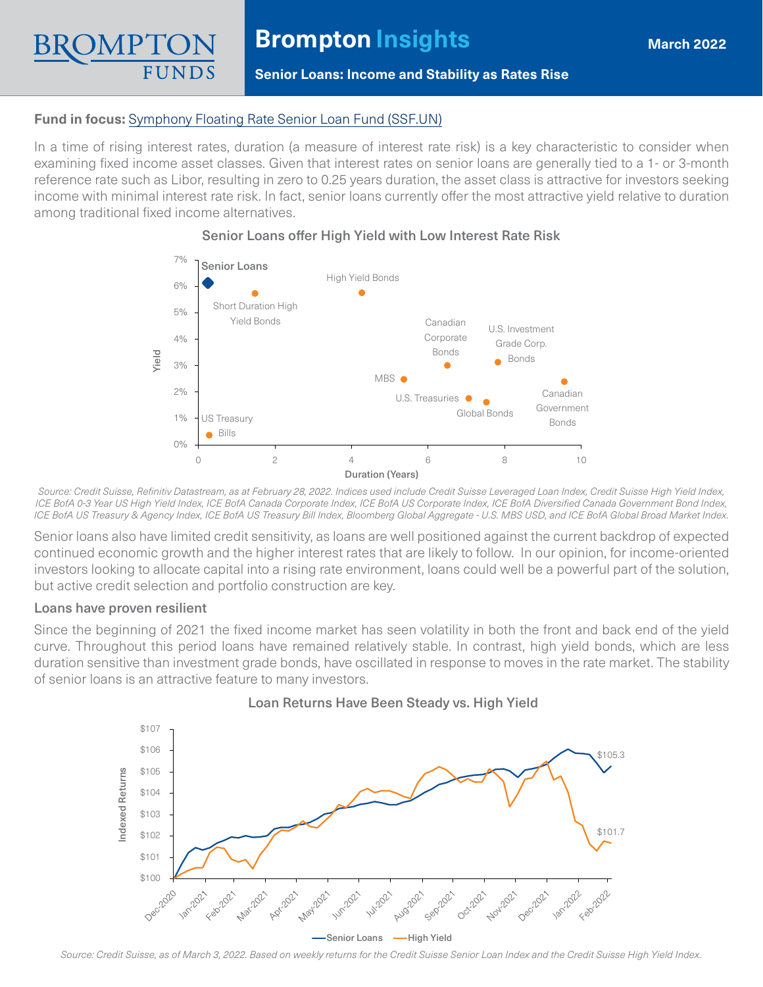# **Fund in focus:** [Symphony Floating Rate Senior Loan Fund \(SSF.UN\)](https://www.bromptongroup.com/product/symphony-floating-rate-senior-loan-fund/)

In a time of rising interest rates, duration (a measure of interest rate risk) is a key characteristic to consider when examining fixed income asset classes. Given that interest rates on senior loans are generally tied to a 1- or 3-month reference rate such as Libor, resulting in zero to 0.25 years duration, the asset class is attractive for investors seeking income with minimal interest rate risk. In fact, senior loans currently offer the most attractive yield relative to duration among traditional fixed income alternatives.

**Senior Loans: Income and Stability as Rates Rise**



# Senior Loans offer High Yield with Low Interest Rate Risk

*Source: Credit Suisse, Refinitiv Datastream, as at February 28, 2022. Indices used include Credit Suisse Leveraged Loan Index, Credit Suisse High Yield Index, ICE BofA 0-3 Year US High Yield Index, ICE BofA Canada Corporate Index, ICE BofA US Corporate Index, ICE BofA Diversified Canada Government Bond Index, ICE BofA US Treasury & Agency Index, ICE BofA US Treasury Bill Index, Bloomberg Global Aggregate - U.S. MBS USD, and ICE BofA Global Broad Market Index.*

Senior loans also have limited credit sensitivity, as loans are well positioned against the current backdrop of expected continued economic growth and the higher interest rates that are likely to follow. In our opinion, for income-oriented investors looking to allocate capital into a rising rate environment, loans could well be a powerful part of the solution, but active credit selection and portfolio construction are key.

# Loans have proven resilient

Since the beginning of 2021 the fixed income market has seen volatility in both the front and back end of the yield curve. Throughout this period loans have remained relatively stable. In contrast, high yield bonds, which are less duration sensitive than investment grade bonds, have oscillated in response to moves in the rate market. The stability of senior loans is an attractive feature to many investors.



# Loan Returns Have Been Steady vs. High Yield

*Source: Credit Suisse, as of March 3, 2022. Based on weekly returns for the Credit Suisse Senior Loan Index and the Credit Suisse High Yield Index.*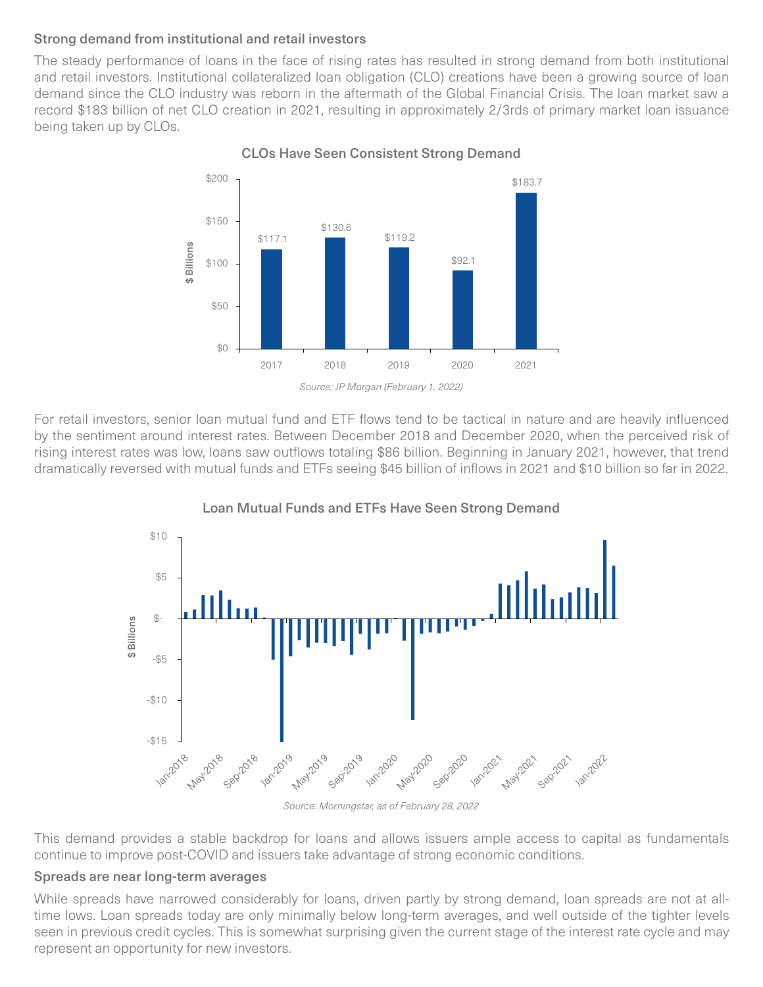# Strong demand from institutional and retail investors

The steady performance of loans in the face of rising rates has resulted in strong demand from both institutional and retail investors. Institutional collateralized loan obligation (CLO) creations have been a growing source of loan demand since the CLO industry was reborn in the aftermath of the Global Financial Crisis. The loan market saw a record \$183 billion of net CLO creation in 2021, resulting in approximately 2/3rds of primary market loan issuance being taken up by CLOs.



CLOs Have Seen Consistent Strong Demand

For retail investors, senior loan mutual fund and ETF flows tend to be tactical in nature and are heavily influenced by the sentiment around interest rates. Between December 2018 and December 2020, when the perceived risk of rising interest rates was low, loans saw outflows totaling \$86 billion. Beginning in January 2021, however, that trend dramatically reversed with mutual funds and ETFs seeing \$45 billion of inflows in 2021 and \$10 billion so far in 2022.



Loan Mutual Funds and ETFs Have Seen Strong Demand

*Source: Morningstar, as of February 28, 2022*

This demand provides a stable backdrop for loans and allows issuers ample access to capital as fundamentals continue to improve post-COVID and issuers take advantage of strong economic conditions.

# Spreads are near long-term averages

While spreads have narrowed considerably for loans, driven partly by strong demand, loan spreads are not at alltime lows. Loan spreads today are only minimally below long-term averages, and well outside of the tighter levels seen in previous credit cycles. This is somewhat surprising given the current stage of the interest rate cycle and may represent an opportunity for new investors.